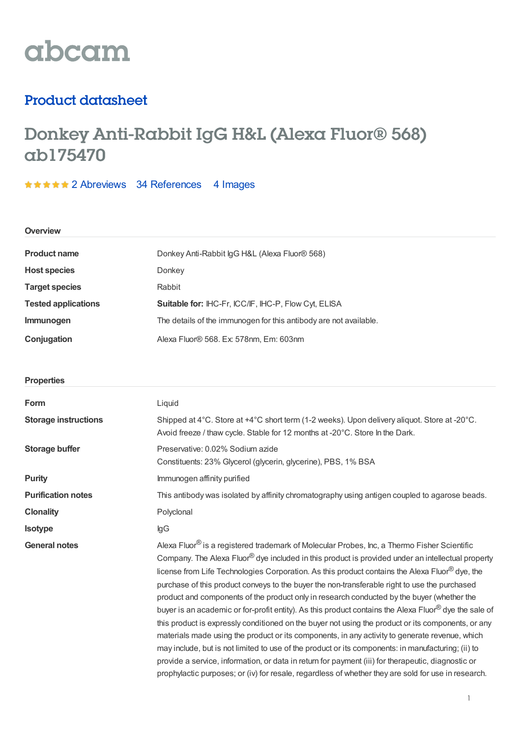# abcam

### Product datasheet

## Donkey Anti-Rabbit IgG H&L (Alexa Fluor® 568) ab175470

\*\*\*\*\* 2 [Abreviews](https://www.abcam.com/donkey-rabbit-igg-hl-alexa-fluor-568-ab175470.html?productWallTab=Abreviews) 34 [References](https://www.abcam.com/donkey-rabbit-igg-hl-alexa-fluor-568-ab175470.html#description_references) 4 Images

| U | verviev |  |
|---|---------|--|
|   |         |  |

| <b>Product name</b>        | Donkey Anti-Rabbit IgG H&L (Alexa Fluor® 568)                     |  |
|----------------------------|-------------------------------------------------------------------|--|
| <b>Host species</b>        | Donkey                                                            |  |
| <b>Target species</b>      | Rabbit                                                            |  |
| <b>Tested applications</b> | Suitable for: IHC-Fr, ICC/IF, IHC-P, Flow Cyt, ELISA              |  |
| <b>Immunogen</b>           | The details of the immunogen for this antibody are not available. |  |
| Conjugation                | Alexa Fluor® 568. Ex: 578nm, Em: 603nm                            |  |

#### **Properties**

| Form                        | Liquid                                                                                                                                                                                                                                                                                                                                                                                                                                                                                                                                                                                                                                                                                                                                                                                                                                                                                                                                                                                                                                                                                                                                            |
|-----------------------------|---------------------------------------------------------------------------------------------------------------------------------------------------------------------------------------------------------------------------------------------------------------------------------------------------------------------------------------------------------------------------------------------------------------------------------------------------------------------------------------------------------------------------------------------------------------------------------------------------------------------------------------------------------------------------------------------------------------------------------------------------------------------------------------------------------------------------------------------------------------------------------------------------------------------------------------------------------------------------------------------------------------------------------------------------------------------------------------------------------------------------------------------------|
| <b>Storage instructions</b> | Shipped at 4°C. Store at +4°C short term (1-2 weeks). Upon delivery aliquot. Store at -20°C.<br>Avoid freeze / thaw cycle. Stable for 12 months at -20°C. Store In the Dark.                                                                                                                                                                                                                                                                                                                                                                                                                                                                                                                                                                                                                                                                                                                                                                                                                                                                                                                                                                      |
| Storage buffer              | Preservative: 0.02% Sodium azide<br>Constituents: 23% Glycerol (glycerin, glycerine), PBS, 1% BSA                                                                                                                                                                                                                                                                                                                                                                                                                                                                                                                                                                                                                                                                                                                                                                                                                                                                                                                                                                                                                                                 |
| <b>Purity</b>               | Immunogen affinity purified                                                                                                                                                                                                                                                                                                                                                                                                                                                                                                                                                                                                                                                                                                                                                                                                                                                                                                                                                                                                                                                                                                                       |
| <b>Purification notes</b>   | This antibody was isolated by affinity chromatography using antigen coupled to agarose beads.                                                                                                                                                                                                                                                                                                                                                                                                                                                                                                                                                                                                                                                                                                                                                                                                                                                                                                                                                                                                                                                     |
| <b>Clonality</b>            | Polyclonal                                                                                                                                                                                                                                                                                                                                                                                                                                                                                                                                                                                                                                                                                                                                                                                                                                                                                                                                                                                                                                                                                                                                        |
| <b>Isotype</b>              | lgG                                                                                                                                                                                                                                                                                                                                                                                                                                                                                                                                                                                                                                                                                                                                                                                                                                                                                                                                                                                                                                                                                                                                               |
| <b>General notes</b>        | Alexa Fluor <sup>®</sup> is a registered trademark of Molecular Probes, Inc, a Thermo Fisher Scientific<br>Company. The Alexa Fluor® dye included in this product is provided under an intellectual property<br>license from Life Technologies Corporation. As this product contains the Alexa Fluor® dye, the<br>purchase of this product conveys to the buyer the non-transferable right to use the purchased<br>product and components of the product only in research conducted by the buyer (whether the<br>buyer is an academic or for-profit entity). As this product contains the Alexa Fluor® dye the sale of<br>this product is expressly conditioned on the buyer not using the product or its components, or any<br>materials made using the product or its components, in any activity to generate revenue, which<br>may include, but is not limited to use of the product or its components: in manufacturing; (ii) to<br>provide a service, information, or data in return for payment (iii) for therapeutic, diagnostic or<br>prophylactic purposes; or (iv) for resale, regardless of whether they are sold for use in research. |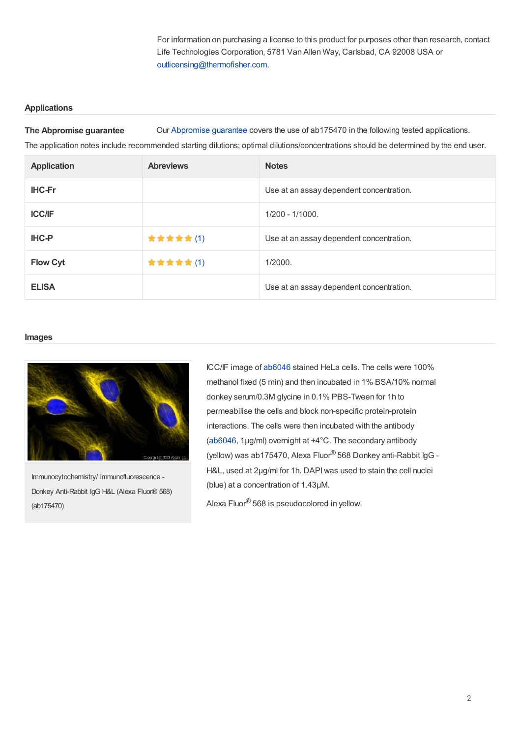For information on purchasing a license to this product for purposes other than research, contact Life Technologies Corporation, 5781 Van Allen Way, Carlsbad, CA 92008 USA or [outlicensing@thermofisher.com](mailto:outlicensing@thermofisher.com).

#### **Applications**

**The Abpromise guarantee** Our [Abpromise](https://www.abcam.com/abpromise) guarantee covers the use of ab175470 in the following tested applications.

The application notes include recommended starting dilutions; optimal dilutions/concentrations should be determined by the end user.

| <b>Application</b> | <b>Abreviews</b> | <b>Notes</b>                             |
|--------------------|------------------|------------------------------------------|
| <b>IHC-Fr</b>      |                  | Use at an assay dependent concentration. |
| <b>ICC/IF</b>      |                  | $1/200 - 1/1000$ .                       |
| <b>IHC-P</b>       | <b>★★★★★(1)</b>  | Use at an assay dependent concentration. |
| <b>Flow Cyt</b>    | <b>女女女女女(1)</b>  | 1/2000.                                  |
| <b>ELISA</b>       |                  | Use at an assay dependent concentration. |

#### **Images**



Immunocytochemistry/ Immunofluorescence - Donkey Anti-Rabbit IgG H&L (Alexa Fluor® 568) (ab175470)

ICC/IF image of [ab6046](https://www.abcam.com/ab6046.html) stained HeLa cells. The cells were 100% methanol fixed (5 min) and then incubated in 1% BSA/10% normal donkey serum/0.3M glycine in 0.1% PBS-Tween for 1h to permeabilise the cells and block non-specific protein-protein interactions. The cells were then incubated with the antibody ([ab6046,](https://www.abcam.com/ab6046.html) 1µg/ml) overnight at +4°C. The secondary antibody (yellow) was ab175470, Alexa Fluor® 568 Donkey anti-Rabbit IgG -H&L, used at 2µg/ml for 1h. DAPI was used to stain the cell nuclei (blue) at a concentration of 1.43µM.

Alexa Fluor $^\circledR$ 568 is pseudocolored in yellow.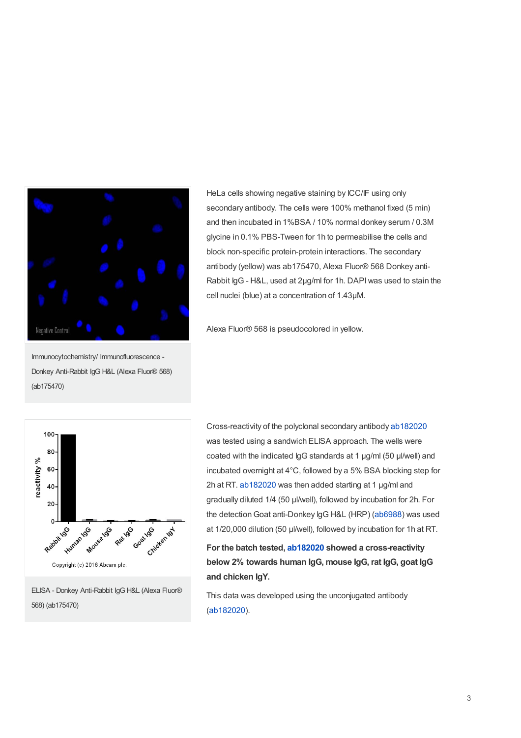

Immunocytochemistry/ Immunofluorescence - Donkey Anti-Rabbit IgG H&L (Alexa Fluor® 568)

(ab175470)

HeLa cells showing negative staining by ICC/IF using only secondary antibody. The cells were 100% methanol fixed (5 min) and then incubated in 1%BSA / 10% normal donkey serum / 0.3M glycine in 0.1% PBS-Tween for 1h to permeabilise the cells and block non-specific protein-protein interactions. The secondary antibody (yellow) was ab175470, Alexa Fluor® 568 Donkey anti-Rabbit IgG - H&L, used at 2µg/ml for 1h. DAPI was used to stain the cell nuclei (blue) at a concentration of 1.43µM.

Alexa Fluor® 568 is pseudocolored in yellow.



ELISA - Donkey Anti-Rabbit IgG H&L (Alexa Fluor® 568) (ab175470)

Cross-reactivity of the polyclonal secondary antibody [ab182020](https://www.abcam.com/ab182020.html) was tested using a sandwich ELISA approach. The wells were coated with the indicated IgG standards at 1 µg/ml (50 µl/well) and incubated overnight at 4°C, followed by a 5% BSA blocking step for 2h at RT. [ab182020](https://www.abcam.com/ab182020.html) was then added starting at 1 µg/ml and gradually diluted 1/4 (50 µl/well), followed by incubation for 2h. For the detection Goat anti-Donkey IgG H&L (HRP) [\(ab6988](https://www.abcam.com/ab6988.html)) was used at 1/20,000 dilution (50 µl/well), followed by incubation for 1h at RT.

**For the batch tested, [ab182020](https://www.abcam.com/ab182020.html) showed a cross-reactivity below 2% towards human IgG, mouse IgG, rat IgG, goat IgG and chicken IgY.**

This data was developed using the unconjugated antibody ([ab182020](https://www.abcam.com/ab182020.html)).